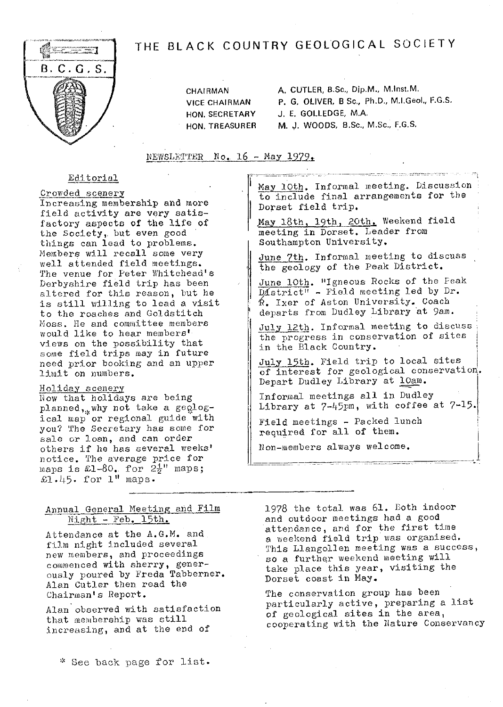# THE BLACK COUNTRY GEOLOGICAL SOCIETY



CHAIRMAN **A.** CUTLER, B.Sc., Dip.M., M.Inst.M. VICE CHAIRMAN P. **C.** OLIVER, B Sc., Ph.D., M.I.GeoI., F.G.S. HON. SECRETARY **J.** E. GOLLEDGE, M.A. HON, TREASURER M. J. WOODS, B.Sc., M.Sc., **F.G.S.**

 $NEWSLETTER$  No. 16 - May 1979.

## Editorial

<sup>C</sup>rowded scenery

Increasing membership and more field activity are very satisfactory aspects of the life of the Society,, but even good things can lead to problems. Members will recall some very well attended field meetings. The venue for Peter Whitehead's Derbyshire field trip has been altered for this reason, but he is still willing to lead a visit to the roaches and Goldstitch Moss. He and committee members would like to hear members' views on the possibility that some field trips may in future need prior booking and an upper limit on numbers.

#### Holiday scenery

Now that holidays are being planned, why not take a  $geq$ <sub>2</sub>logical map or regional guide with you? The Secretary has some for sale or loan, and can order others if he has several weeks' notice. The average price for<br>maps is £1-80. for  $2\frac{1}{2}$  maps;  $£1.45.$  for  $1"$  maps.

May 10th. Informal meeting. Discussion to include final arrangements for the Dorset field trip.

anggo gunaka sa sa sa magagara

May 18th, 19th, 20th. Weekend field meeting in Dorset. Leader from Southampton University.

June 7th. Informal meeting to discuss the geology of the Peak District.

June 10th. "Igneous Rocks of the Peak  $\overline{\text{D4strict''}}$  - Field meeting led by Dr. **R.** Ixer of Aston University. Coach departs from Dudley Library at 9am.

July 12th. Informal meeting to discuss the progress in conservation of sites in the Black Country.

July 15th. Field trip to local sites of interest for geological conservation. Depart Dudley Library at lOam.

Informal meetings all in Dudley Library at 7-L5pm, with coffee at 7-l5.

Field meetings - Packed lunch required for all of them.

Non-members always welcome.

# Annual General Meeting and Film Night - Feb. 15th.

Attendance at the A.G.M. and film night included several new members, and proceedings commenced with sherry, generously poured by Freda Tabberner. Alan Cutler then road the Chairman's Report.

Alan observed with satisfaction that membership was still increasing, and at the end of

>k See back page for list.

1978 the total was 61. Both indoor and outdoor meetings had a good attendance, and for the first time a weekend field trip was organised. This Llangollen meeting was a success, so a further weekend Meeting will take place this year, visiting the Dorset coast in May.

The conservation group has been particularly active, preparing a list of geological sites in the area, cooperating with the Nature Conservancy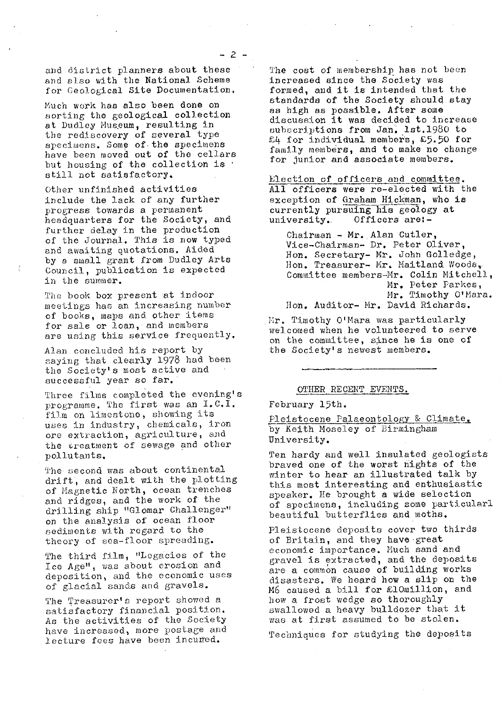and district planners about these and also with the National Scheme for Geological Site Documentation,

Much work has also been done on sorting the geological collection at Dudley Museum, resulting in the rediscovery of several type specimens. Some of the specimens have been moved out of the cellars but housing of the collection is : still not satisfactory.

Other unfinished activities include the lack of any further progress towards a permanent headquarters for the Society, and further delay in the production of the Journal. This is now typed and awaiting quotations. Aided by a small grant from Dudley Arts Council, publication is expected *in the summer.*

The book box present at indoor meetings has an increasing number of books, maps and other items for sale or loan, and members are using this service frequently.

Alan concluded his report by saying that clearly 1978 had been the Society's most active and successful year so far.

Three films completed the evening's programme. The first was an I.C.I. film on limestone, showing its uses in industry, chemicals, iron ore extraction, agriculture, and the treatment of *sewage and* other pollutants.

The second was about continentaldrift, and dealt with the plotting of Magnetic North, ocean trenches and ridges, and the work of the drilling ship "Glomar Challenger" on the analysis of ocean floor sediments with regard to the theory of sea-floor spreading.

The third film, "Legacies of the Ice Age", was about erosion and deposition, and the economic uses of glacial sands and gravels.

*The Treasurer's report showed a* satisfactory financial position. As the activities of the Society have increased, more postage and lecture fees have been incurred.

The cost of membership has not been increased since the Society was formed, and it is intended that the standards of the Society should stay as high as possible. After some discussion it was decided to increase subscriptions from Jan, lst.1980 to *£.Lf* for individual member's, £5.50 for family members, and to make no change for junior and associate members.

Election of officers and committee. All officers were re-elected with the exception of Graham Hickman, who is currently pursuing his geology at<br>university. Officers are:-Officers are:-

Chairman - Mr. Alan Cutler, Vice-Chairman- Dr. Peter Oliver, Hon, Secretary- Mr. John Golledge, Hon. Treasurer- Mr. Maitland Woods, Committee members-Mr. Colin Mitchell, Mr. Peter Parkes, Mr. Timothy O'Mara. Hon. Auditor- Mr, David Richards,

Mr. Timothy O'Mara was particularly welcomed when he volunteered to serve on the committee, since he is one of the Society's newest members.

#### OTHER RECENT EVENTS.

#### February 15th.

Pleistocene Palaeontology & Climate. by Keith Moseley of Birmingham University.

Ten hardy and well insulated geologists braved one of the worst nights of the winter to hear an illustrated talk by this most interesting and enthusiastic speaker. He brought a wide selection of specimens, including some particularl *beautiful butterflies* and moths.

Pleistocene deposits cover two thirds of Britain, and they have great economic importance. Much sand and gravel is extracted, and the deposits are a common cause of building works disasters. We heard how a slip on the M6 caused a bill for £10million, and how a frost wedge so thoroughly swallowed a heavy bulldozer that it was at first assumed to be stolen.

Techniques for studying the deposits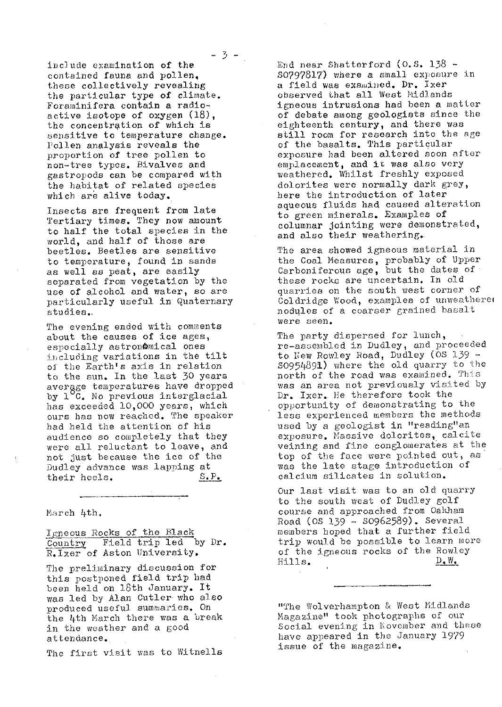-3-

include examination of the contained fauna and pollen, these collectively *revealing* the particular type of climate. Foraminifera contain a radioactive isotope of oxygen (18), the concentration of which is sensitive to temperature change. Pollen analysis *reveals the* proportion of tree pollen to non-tree types. Bivalves and gastropods can be compared with the habitat of *related species* which are alive today.

Insects are frequent from late *`tertiary times.* They now amount to half the total species in the world, and half of those are beetles. Beetles are sensitive to temperature, found in sands as well as peat, are easily separated from vegetation by the use of alcohol and water, so are particularly useful in Quaternary studies.,

The evening ended with comments about the causes of ice ages, especially astronomical ones including variations in the tilt of the Earth's axis in relation to the sun. In the last 30 years avergge temperatures have dropped *by I C. No previous* interglacial has exceeded 10,000 years, which ours has now reached. The speaker had held the attention of his audience so completely that they were all reluctant to leave, and not just because the ice of the Dudley advance was lapping at<br>their heels.  $S.P.$ their heels.

March 4th.

Igneous Rocks of the Black Country Field trip led by Dr. P.lxer of Aston University.

The preliminary discussion for this postponed field trip had been held on 18th January. It was led by Alan Cutler who also produced useful summaries. On the 4th March there was a break in the weather and a good attendance..

The first visit was to Witnells

End near Shatterford  $(0.5. 138 -$ <sup>50</sup><sup>7978</sup> <sup>1</sup> 7) where a small exposure in a field was examined. Dr. Ixer observed that all West Midlands igneous intrusions had been a matter of debate among geologists since the eighteenth century, and there was still room for research into the age of the basalts. This particular exposure had been altered soon after emplacement, and it was also very weathered. Whilst freshly exposed dolorites were normally dark grey, here the introduction of later aqueous fluids had caused alteration to green minerals. Examples of columnar jointing were demonstrated, and also their weathering..

The area showed igneous material in the Coal Measures, probably of Upper Carboniferous age, but the dates of these rocks are uncertain. In old quarries on the south west corner of Coldridge Wood, examples of unweathered nodules of a coarser grained basalt were seen.

The party dispersed for lunch, re-assembled in Dudley, and proceeded to New Rowley Road, Dudley (OS 139 -S0951f891) where the old quarry to the north of the road was examined. This was an area not previously visited by Dr. Ixer. He therefore took the opportunity of demonstrating to the less experienced members the methods used by a geologist in "reading"an exposure. Massive doloritos, calcite veining and fine conglomerates at the top of the face were pointed out, as was the late stage introduction of calcium silicates in solution.

Our last visit was to an old quarry to the south west of Dudley golf course and approached from Oakham Road (CS 139 - S0962589). Several members hoped that a further field trip would be possible to learn more of the igneous rocks of the Rowley<br>Hills.  $\underline{D}_\bullet \underline{W}_\bullet$ 

"The Wolverhampton & West Midlands Magazine" took photographs of our Social evening in November and these have appeared in the January 1979 issue of the magazine.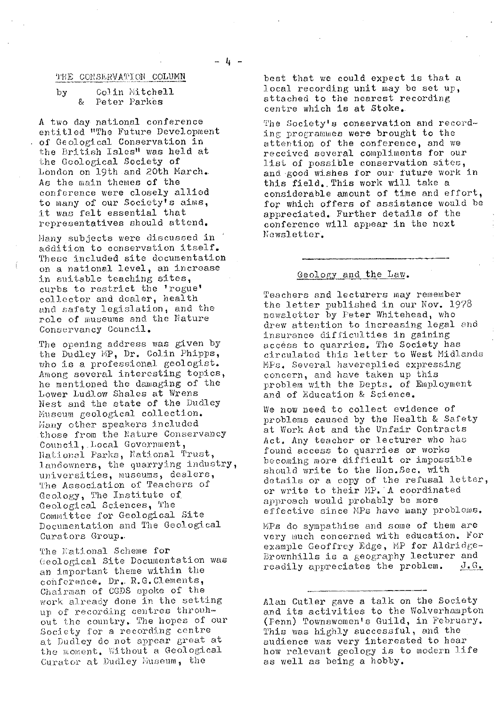#### THE CONSERVATION COLUMN

#### **by Colin Mitchell**<br>*R* Peter Parkes & Peter Parkes

A two day national conference entitled "The Future Development of Geological Conservation in the British Isles" was held at the Geological Society of London on 19th and 20th March. As the main themes of the conference were closely allied to many of our Society's aims, it was felt essential that representatives should attend.

Many subjects were discussed in addition to conservation itself. These included site documentation on a national level, an increase in suitable teaching sites, curbs to restrict the 'rogue' collector and dealer, health end safety legislation, and the role of museums and the Nature Conservancy Council.

The opening address was given by the Dudley MP, Dr. Colin Phipps, who is a professional geologist. Among several interesting topics, he mentioned the damaging of the Lower Ludlow Shales at Wrens Nest and the state of the Dudley Nuseum geological collection. Hany other speakers included those from the Nature Conservancy Council, . Local Government, National Parks, National Trust, landowners, the quarrying industry, universities, museums, dealers, The Association of Teachers of Geology, The Institute of, Geological Sciences, The Committee for Geological Site Documentation and The Geological Curators Group..

The National Scheme for Geological Site Documentation was an important theme within the conference. Dr.. R.G.Clements, Chairman of CGDS spoke of the work already done in the setting up of recording centres throuhout the country, The hopes of our Society for a recording centre at Dudley do not appear great at the moment. Without a Geological Curator at Dudley Euseum, the

best that we could expect is that a local recording unit may be set up, attached to the nearest recording centre which is at Stoke.

The Society's conservation and recording programmes were brought to the attention of the conference, and we received several compliments for our list of possible conservation sites, and good wishes for our future work in this field..This work will take a considerable amount of time and effort, fop which offers of assistance would be appreciated. Further details of the conference will appear in the next Newsletter.

# Geology and the Law.

Teachers and lecturers may remember the letter published in our Nov. 1978 newsletter by Peter Whitehead, who drew attention to increasing legal and insurance difficulties in gaining access to quarries. The Society has circulated this letter to West Midlands MPs. Several havereplied expressing concern, and have taken up this problem with the Depts. of Employment and of Education & Science.

We now need to collect evidence of problems caused by the Health & Safety at Work Act and the Unfair Contracts Act. Any teacher or lecturer who has *found access to quarries or works* becoming more difficult or impossible should write to the Hon.Sec, with details or a copy of the refusal letter, or write to their MP. A coordinated approach would probably be more effective since MPs have many problems.

UPs do sympathise and some of them are very much concerned with education. For example Geoffrey Edge, MP for Aldridge-Brownhills is a geography lecturer and<br>readily appreciates the problem.  $J.G.$ readily appreciates the problem.

Alan Cutler gave a talk on the Society and its activities to the Wolverhampton (Fenn) Townswomen's Guild, in February. This was highly successful, and the audience was very interested to hear how relevant geology is to modern life as well as being a hobby.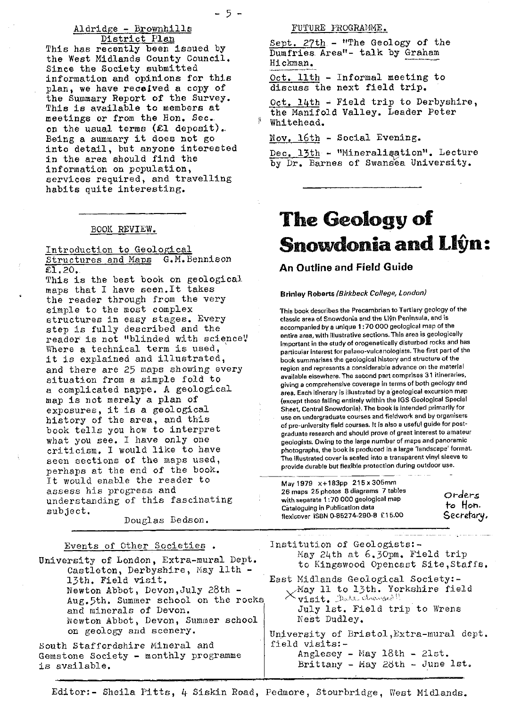# Aldridge - Brownhills District Plan

This has recently been issued by the West Midlands County Council. Since the Society submitted information and opinions for this plan, we have received a copy of the Summary Report of the Survey. This is available to members at meetings or from the Hon. See.. on the usual terms  $(E1$  deposit). Being a summary it does not go into detail, but anyone interested in the area should find the information on population, services required, and travelling habits quite interesting.

#### BOOK REVIEW.

Introduction to Geological Structures and Maps G. M. Bennison  $£.20.$ 

This is the best book on geological maps that I have seen.It takes the reader through from the very simple to the most complex structures in easy stages. Every step is fully described and the reader is not "blinded with science" Where a technical term is used, it is explained and illustrated, and there are 25 maps showing every situation from a simple fold to a complicated nappe. A geological map is not merely a plan of exposures, it is a geological history of the area, and this book tells you how to interpret what you see. I have only one criticism. I would like to have seen sections of the maps used, perhaps at the end of the book. It would enable the reader to assess his progress and understanding of this fascinating subject.

Douglas Bedson.

# Events of Other Societies .

University of London, Extra-mural Dept. Castleton, Derbyshire, May 11th 13th. Field visit. Newton Abbot, Devon,July 28th - Aug.5th. Summer school on the rock and minerals of Devon. Newton Abbot, Devon, Summer school on geology and scenery.

South Staffordshire Mineral and Gemstone Society - monthly programme is available.

#### FUTURE PROGRAMME.

Sept. 27th - "The Geology of the Dumfries. Area"- talk by Graham Hickman .

Oct.  $11th$  - Informal meeting to discuss the next field trip.

Oct. 14th - Field trip to Derbyshire, the Manifold Valley. Leader Peter Whitehead.

#### Nov. 16th - Social Evening.

Dec. 13th -- "Mineralipation". Lecture by Dr. Barnes of Swansea University.

# The Geology of Snowdonia and Llŷn:

### An Outline and Field Guide

#### Brinley Roberts *(Birkbeck College, London)*

This book describes the Precambrian to Tertlary geology of the classic area of Snowdonia and the L19n Peninsula, and is accompanied by a unique 1:70000 geological map of the entire area, with illustrative sections This area is geologically important in the study of orogenetically disturbed rocks and has particular interest for palaeo-vulcanologists. The first part of the book summarises the geological history and structure of the region and represents a considerable advance on the material available elsewhere. The second part comprises 31 itineraries, giving a comprehensive coverage in terms of both geology and area. Each itinerary is illustrated by a geological excursion map (except those falling entirely within the 1GS Geological Special Sheet, Central Snowdonia). The book is intended primarily for use on undergraduate courses and fieldwork and by organisers of pre-university field courses. It is also a useful guide for postgraduate research and should prove of great interest to amateur geologists. Owing to the large number of maps and panoramic photographs, the book is produced in a large 'landscape' format. The illustrated cover is seated into a transparent vinyl sleeve to provide durable but flexible protection during outdoor use.

| May 1979 x+183pp 215 x 305mm<br>26 maps 25 photos 8 diagrams 7 tables<br>with separate 1:70 000 geological map<br>Cataloguing in Publication data | Orders<br>to Hon. |
|---------------------------------------------------------------------------------------------------------------------------------------------------|-------------------|
| flexicover ISBN 0-85274-290-8 £15.00                                                                                                              | Secretary.        |

Institution of Geologists:- May 24th at 6.30pm. Field trip to Kingswood Opencast Site,Staffs.

East Midlands Geological Society:-  $\times$ May 11 to 13th. Yorkshire field  $\times$ visit, Datt changed! July 1st. Field trip to Wrens Nest Dudley.

University of Bristol, Extra-mural dept. field visits:- Anglesey - May 18th - 21st. Brittany - May 28th - June 1st.

Editor:- Sheila Pitts, 4 Siskin Road, Pedmore, Stourbridge, West Midlands.